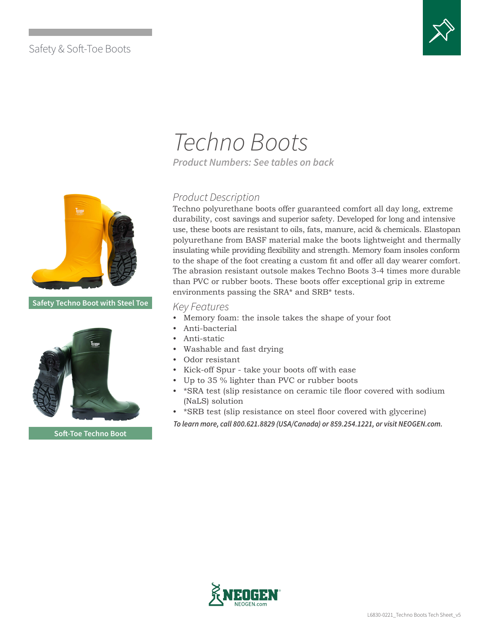### Safety & Soft-Toe Boots



# *Techno Boots*

*Product Numbers: See tables on back* 

### *Product Description*

Techno polyurethane boots offer guaranteed comfort all day long, extreme durability, cost savings and superior safety. Developed for long and intensive use, these boots are resistant to oils, fats, manure, acid & chemicals. Elastopan polyurethane from BASF material make the boots lightweight and thermally insulating while providing flexibility and strength. Memory foam insoles conform to the shape of the foot creating a custom fit and offer all day wearer comfort. The abrasion resistant outsole makes Techno Boots 3-4 times more durable than PVC or rubber boots. These boots offer exceptional grip in extreme environments passing the SRA\* and SRB\* tests.

#### *Key Features*

- Memory foam: the insole takes the shape of your foot
- Anti-bacterial
- Anti-static
- Washable and fast drying
- Odor resistant
- Kick-off Spur take your boots off with ease
- Up to 35 % lighter than PVC or rubber boots
- \*SRA test (slip resistance on ceramic tile floor covered with sodium (NaLS) solution
- \*SRB test (slip resistance on steel floor covered with glycerine)
- *To learn more, call 800.621.8829 (USA/Canada) or 859.254.1221, or visit NEOGEN.com.*



**Soft-Toe Techno Boot**